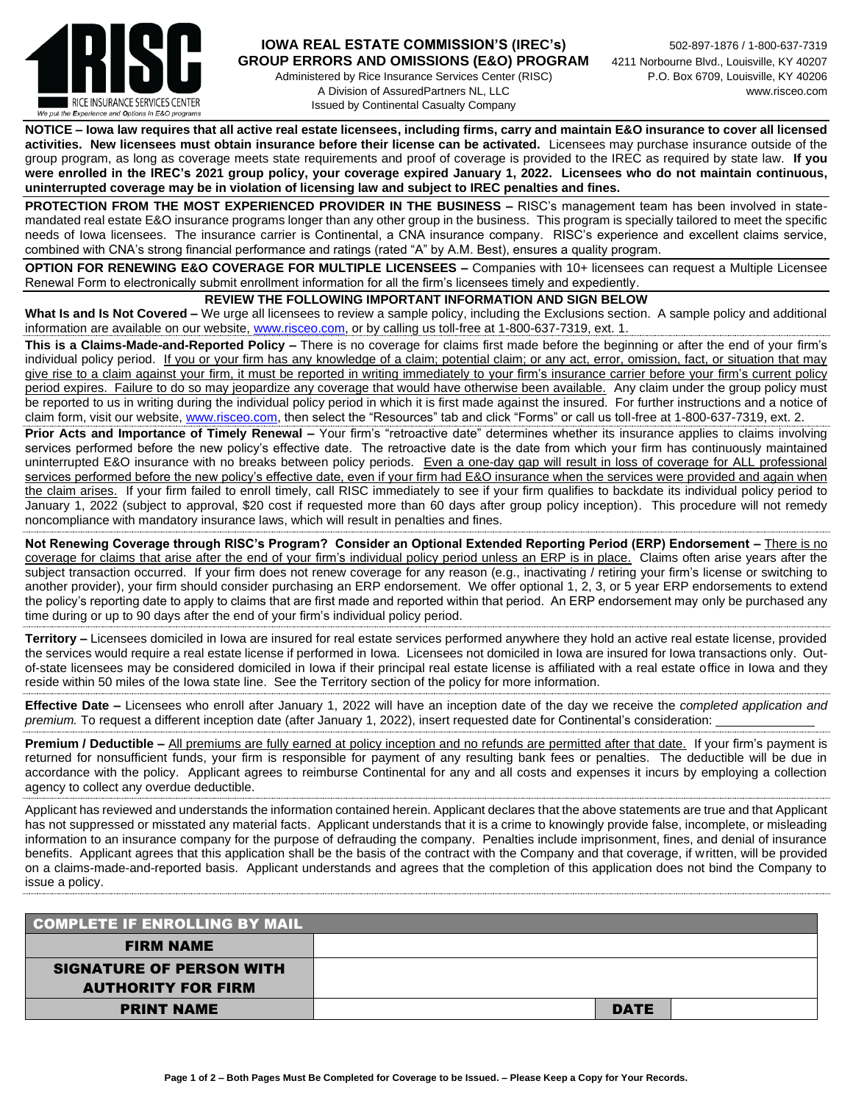

### **IOWA REAL ESTATE COMMISSION'S (IREC's)** 502-897-1876 / 1-800-637-7319 GROUP ERRORS AND OMISSIONS (E&O) PROGRAM 4211 Norbourne Blvd., Louisville, KY 40207

Administered by Rice Insurance Services Center (RISC) P.O. Box 6709, Louisville, KY 40206 A Division of AssuredPartners NL, LLC www.risceo.com Issued by Continental Casualty Company

**NOTICE – Iowa law requires that all active real estate licensees, including firms, carry and maintain E&O insurance to cover all licensed**  activities. New licensees must obtain insurance before their license can be activated. Licensees may purchase insurance outside of the group program, as long as coverage meets state requirements and proof of coverage is provided to the IREC as required by state law. **If you were enrolled in the IREC's 2021 group policy, your coverage expired January 1, 2022. Licensees who do not maintain continuous, uninterrupted coverage may be in violation of licensing law and subject to IREC penalties and fines.**

**PROTECTION FROM THE MOST EXPERIENCED PROVIDER IN THE BUSINESS –** RISC's management team has been involved in statemandated real estate E&O insurance programs longer than any other group in the business. This program is specially tailored to meet the specific needs of Iowa licensees. The insurance carrier is Continental, a CNA insurance company. RISC's experience and excellent claims service, combined with CNA's strong financial performance and ratings (rated "A" by A.M. Best), ensures a quality program.

**OPTION FOR RENEWING E&O COVERAGE FOR MULTIPLE LICENSEES –** Companies with 10+ licensees can request a Multiple Licensee Renewal Form to electronically submit enrollment information for all the firm's licensees timely and expediently.

#### **REVIEW THE FOLLOWING IMPORTANT INFORMATION AND SIGN BELOW**

**What Is and Is Not Covered –** We urge all licensees to review a sample policy, including the Exclusions section. A sample policy and additional information are available on our website, [www.risceo.com,](http://www.risceo.com/) or by calling us toll-free at 1-800-637-7319, ext. 1.

**This is a Claims-Made-and-Reported Policy –** There is no coverage for claims first made before the beginning or after the end of your firm's individual policy period. If you or your firm has any knowledge of a claim; potential claim; or any act, error, omission, fact, or situation that may give rise to a claim against your firm, it must be reported in writing immediately to your firm's insurance carrier before your firm's current policy period expires. Failure to do so may jeopardize any coverage that would have otherwise been available. Any claim under the group policy must be reported to us in writing during the individual policy period in which it is first made against the insured. For further instructions and a notice of claim form, visit our website[, www.risceo.com,](http://www.risceo.com/notice-of-claim-form) then select the "Resources" tab and click "Forms" or call us toll-free at 1-800-637-7319, ext. 2.

**Prior Acts and Importance of Timely Renewal –** Your firm's "retroactive date" determines whether its insurance applies to claims involving services performed before the new policy's effective date. The retroactive date is the date from which your firm has continuously maintained uninterrupted E&O insurance with no breaks between policy periods. Even a one-day gap will result in loss of coverage for ALL professional services performed before the new policy's effective date, even if your firm had E&O insurance when the services were provided and again when the claim arises. If your firm failed to enroll timely, call RISC immediately to see if your firm qualifies to backdate its individual policy period to January 1, 2022 (subject to approval, \$20 cost if requested more than 60 days after group policy inception). This procedure will not remedy noncompliance with mandatory insurance laws, which will result in penalties and fines.

**Not Renewing Coverage through RISC's Program? Consider an Optional Extended Reporting Period (ERP) Endorsement –** There is no coverage for claims that arise after the end of your firm's individual policy period unless an ERP is in place. Claims often arise years after the subject transaction occurred. If your firm does not renew coverage for any reason (e.g., inactivating / retiring your firm's license or switching to another provider), your firm should consider purchasing an ERP endorsement. We offer optional 1, 2, 3, or 5 year ERP endorsements to extend the policy's reporting date to apply to claims that are first made and reported within that period. An ERP endorsement may only be purchased any time during or up to 90 days after the end of your firm's individual policy period.

**Territory –** Licensees domiciled in Iowa are insured for real estate services performed anywhere they hold an active real estate license, provided the services would require a real estate license if performed in Iowa. Licensees not domiciled in Iowa are insured for Iowa transactions only. Outof-state licensees may be considered domiciled in Iowa if their principal real estate license is affiliated with a real estate office in Iowa and they reside within 50 miles of the Iowa state line. See the Territory section of the policy for more information.

**Effective Date –** Licensees who enroll after January 1, 2022 will have an inception date of the day we receive the *completed application and premium.* To request a different inception date (after January 1, 2022), insert requested date for Continental's consideration:

**Premium / Deductible** – All premiums are fully earned at policy inception and no refunds are permitted after that date. If your firm's payment is returned for nonsufficient funds, your firm is responsible for payment of any resulting bank fees or penalties. The deductible will be due in accordance with the policy. Applicant agrees to reimburse Continental for any and all costs and expenses it incurs by employing a collection agency to collect any overdue deductible.

Applicant has reviewed and understands the information contained herein. Applicant declares that the above statements are true and that Applicant has not suppressed or misstated any material facts. Applicant understands that it is a crime to knowingly provide false, incomplete, or misleading information to an insurance company for the purpose of defrauding the company. Penalties include imprisonment, fines, and denial of insurance benefits. Applicant agrees that this application shall be the basis of the contract with the Company and that coverage, if written, will be provided on a claims-made-and-reported basis. Applicant understands and agrees that the completion of this application does not bind the Company to issue a policy.

| <b>COMPLETE IF ENROLLING BY MAIL</b> |             |  |
|--------------------------------------|-------------|--|
| <b>FIRM NAME</b>                     |             |  |
| <b>SIGNATURE OF PERSON WITH</b>      |             |  |
| <b>AUTHORITY FOR FIRM</b>            |             |  |
| <b>PRINT NAME</b>                    | <b>DATE</b> |  |